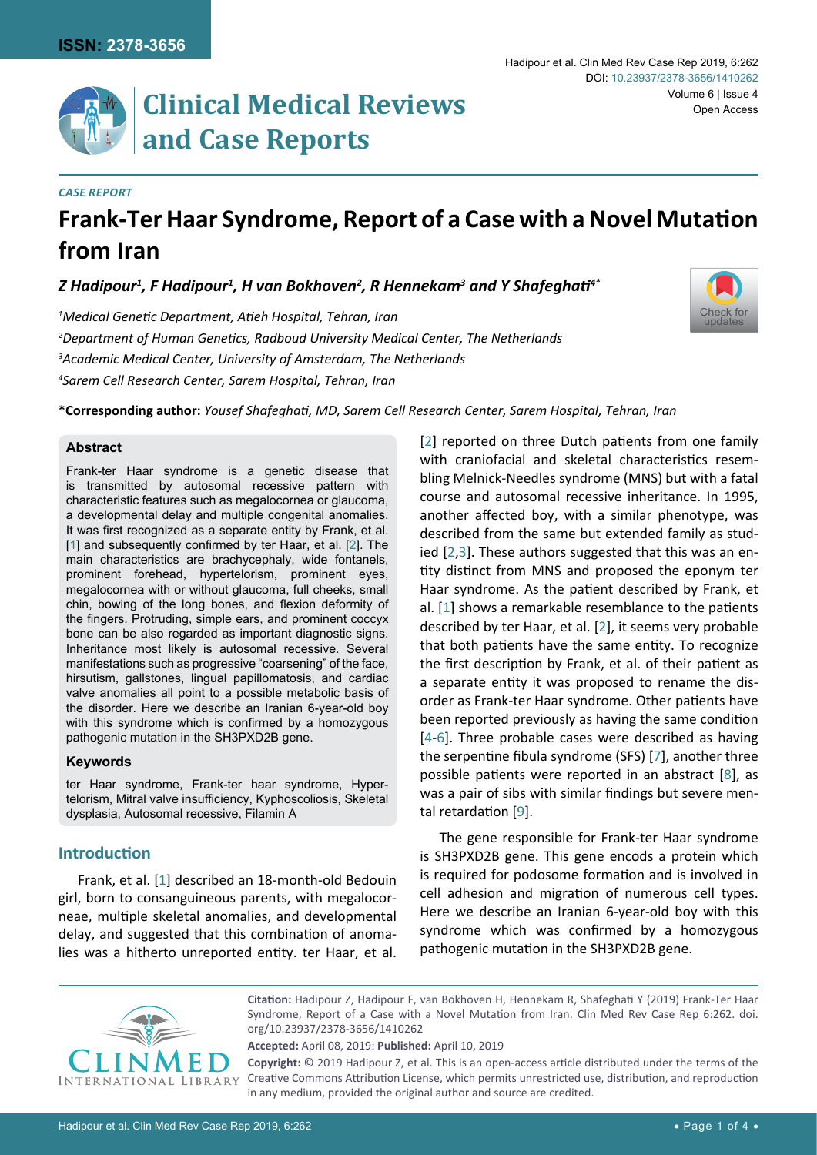

## *Case Report*

# **Frank-Ter Haar Syndrome, Report of a Case with a Novel Mutation from Iran**

*Z Hadipour1 , F Hadipour1 , H van Bokhoven2 , R Hennekam3 and Y Shafeghati4\**

 *Medical Genetic Department, Atieh Hospital, Tehran, Iran Department of Human Genetics, Radboud University Medical Center, The Netherlands Academic Medical Center, University of Amsterdam, The Netherlands Sarem Cell Research Center, Sarem Hospital, Tehran, Iran*

**\*Corresponding author:** *Yousef Shafeghati, MD, Sarem Cell Research Center, Sarem Hospital, Tehran, Iran*

### **Abstract**

Frank-ter Haar syndrome is a genetic disease that is transmitted by autosomal recessive pattern with characteristic features such as megalocornea or glaucoma, a developmental delay and multiple congenital anomalies. It was first recognized as a separate entity by Frank, et al. [[1](#page-3-0)] and subsequently confirmed by ter Haar, et al. [[2\]](#page-3-1). The main characteristics are brachycephaly, wide fontanels, prominent forehead, hypertelorism, prominent eyes, megalocornea with or without glaucoma, full cheeks, small chin, bowing of the long bones, and flexion deformity of the fingers. Protruding, simple ears, and prominent coccyx bone can be also regarded as important diagnostic signs. Inheritance most likely is autosomal recessive. Several manifestations such as progressive "coarsening" of the face, hirsutism, gallstones, lingual papillomatosis, and cardiac valve anomalies all point to a possible metabolic basis of the disorder. Here we describe an Iranian 6-year-old boy with this syndrome which is confirmed by a homozygous pathogenic mutation in the SH3PXD2B gene.

### **Keywords**

ter Haar syndrome, Frank-ter haar syndrome, Hypertelorism, Mitral valve insufficiency, Kyphoscoliosis, Skeletal dysplasia, Autosomal recessive, Filamin A

## **Introduction**

Frank, et al. [[1](#page-3-0)] described an 18-month-old Bedouin girl, born to consanguineous parents, with megalocorneae, multiple skeletal anomalies, and developmental delay, and suggested that this combination of anomalies was a hitherto unreported entity. ter Haar, et al.

[[2](#page-3-1)] reported on three Dutch patients from one family with craniofacial and skeletal characteristics resembling Melnick-Needles syndrome (MNS) but with a fatal course and autosomal recessive inheritance. In 1995, another affected boy, with a similar phenotype, was described from the same but extended family as studied [\[2,](#page-3-1)[3](#page-3-2)]. These authors suggested that this was an entity distinct from MNS and proposed the eponym ter Haar syndrome. As the patient described by Frank, et al. [[1](#page-3-0)] shows a remarkable resemblance to the patients described by ter Haar, et al. [[2](#page-3-1)], it seems very probable that both patients have the same entity. To recognize the first description by Frank, et al. of their patient as a separate entity it was proposed to rename the disorder as Frank-ter Haar syndrome. Other patients have been reported previously as having the same condition [[4](#page-3-3)[-6](#page-3-4)]. Three probable cases were described as having the serpentine fibula syndrome (SFS) [\[7](#page-3-5)], another three possible patients were reported in an abstract [[8](#page-3-6)], as was a pair of sibs with similar findings but severe mental retardation [[9](#page-3-7)].

The gene responsible for Frank-ter Haar syndrome is SH3PXD2B gene. This gene encods a protein which is required for podosome formation and is involved in cell adhesion and migration of numerous cell types. Here we describe an Iranian 6-year-old boy with this syndrome which was confirmed by a homozygous pathogenic mutation in the SH3PXD2B gene.



**Citation:** Hadipour Z, Hadipour F, van Bokhoven H, Hennekam R, Shafeghati Y (2019) Frank-Ter Haar Syndrome, Report of a Case with a Novel Mutation from Iran. Clin Med Rev Case Rep 6:262. [doi.](https://doi.org/10.23937/2378-3656/1410262) [org/10.23937/2378-3656/1410262](https://doi.org/10.23937/2378-3656/1410262)

**Accepted:** April 08, 2019: **Published:** April 10, 2019

**Copyright:** © 2019 Hadipour Z, et al. This is an open-access article distributed under the terms of the Creative Commons Attribution License, which permits unrestricted use, distribution, and reproduction in any medium, provided the original author and source are credited.

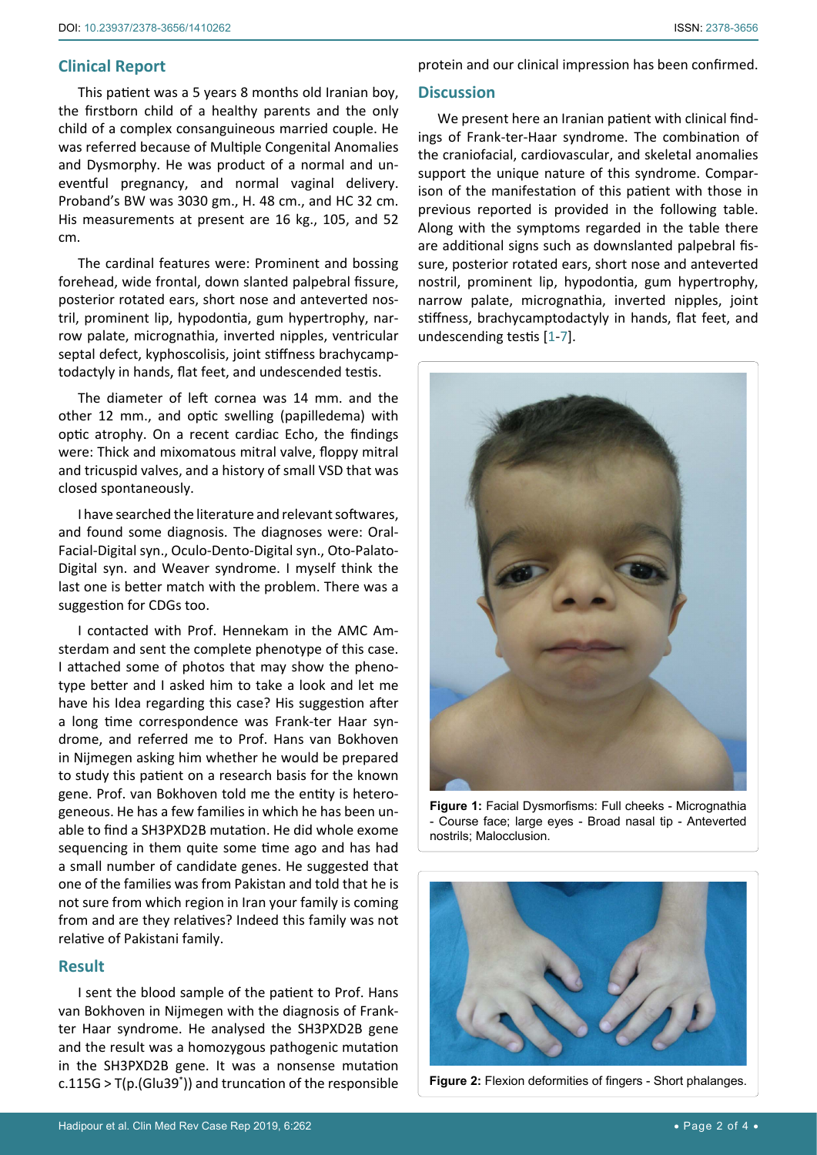## **Clinical Report**

This patient was a 5 years 8 months old Iranian boy, the firstborn child of a healthy parents and the only child of a complex consanguineous married couple. He was referred because of Multiple Congenital Anomalies and Dysmorphy. He was product of a normal and uneventful pregnancy, and normal vaginal delivery. Proband's BW was 3030 gm., H. 48 cm., and HC 32 cm. His measurements at present are 16 kg., 105, and 52 cm.

The cardinal features were: Prominent and bossing forehead, wide frontal, down slanted palpebral fissure, posterior rotated ears, short nose and anteverted nostril, prominent lip, hypodontia, gum hypertrophy, narrow palate, micrognathia, inverted nipples, ventricular septal defect, kyphoscolisis, joint stiffness brachycamptodactyly in hands, flat feet, and undescended testis.

The diameter of left cornea was 14 mm. and the other 12 mm., and optic swelling (papilledema) with optic atrophy. On a recent cardiac Echo, the findings were: Thick and mixomatous mitral valve, floppy mitral and tricuspid valves, and a history of small VSD that was closed spontaneously.

I have searched the literature and relevant softwares, and found some diagnosis. The diagnoses were: Oral-Facial-Digital syn., Oculo-Dento-Digital syn., Oto-Palato-Digital syn. and Weaver syndrome. I myself think the last one is better match with the problem. There was a suggestion for CDGs too.

I contacted with Prof. Hennekam in the AMC Amsterdam and sent the complete phenotype of this case. I attached some of photos that may show the phenotype better and I asked him to take a look and let me have his Idea regarding this case? His suggestion after a long time correspondence was Frank-ter Haar syndrome, and referred me to Prof. Hans van Bokhoven in Nijmegen asking him whether he would be prepared to study this patient on a research basis for the known gene. Prof. van Bokhoven told me the entity is heterogeneous. He has a few families in which he has been unable to find a SH3PXD2B mutation. He did whole exome sequencing in them quite some time ago and has had a small number of candidate genes. He suggested that one of the families was from Pakistan and told that he is not sure from which region in Iran your family is coming from and are they relatives? Indeed this family was not relative of Pakistani family.

## **Result**

I sent the blood sample of the patient to Prof. Hans van Bokhoven in Nijmegen with the diagnosis of Frankter Haar syndrome. He analysed the SH3PXD2B gene and the result was a homozygous pathogenic mutation in the SH3PXD2B gene. It was a nonsense mutation c.115G > T(p.(Glu39\* )) and truncation of the responsible protein and our clinical impression has been confirmed.

### **Discussion**

We present here an Iranian patient with clinical findings of Frank-ter-Haar syndrome. The combination of the craniofacial, cardiovascular, and skeletal anomalies support the unique nature of this syndrome. Comparison of the manifestation of this patient with those in previous reported is provided in the following table. Along with the symptoms regarded in the table there are additional signs such as downslanted palpebral fissure, posterior rotated ears, short nose and anteverted nostril, prominent lip, hypodontia, gum hypertrophy, narrow palate, micrognathia, inverted nipples, joint stiffness, brachycamptodactyly in hands, flat feet, and undescending testis [[1](#page-3-0)[-7\]](#page-3-5).

<span id="page-1-0"></span>

**Figure 1:** Facial Dysmorfisms: Full cheeks - Micrognathia - Course face; large eyes - Broad nasal tip - Anteverted nostrils; Malocclusion.

<span id="page-1-1"></span>

**Figure 2:** Flexion deformities of fingers - Short phalanges.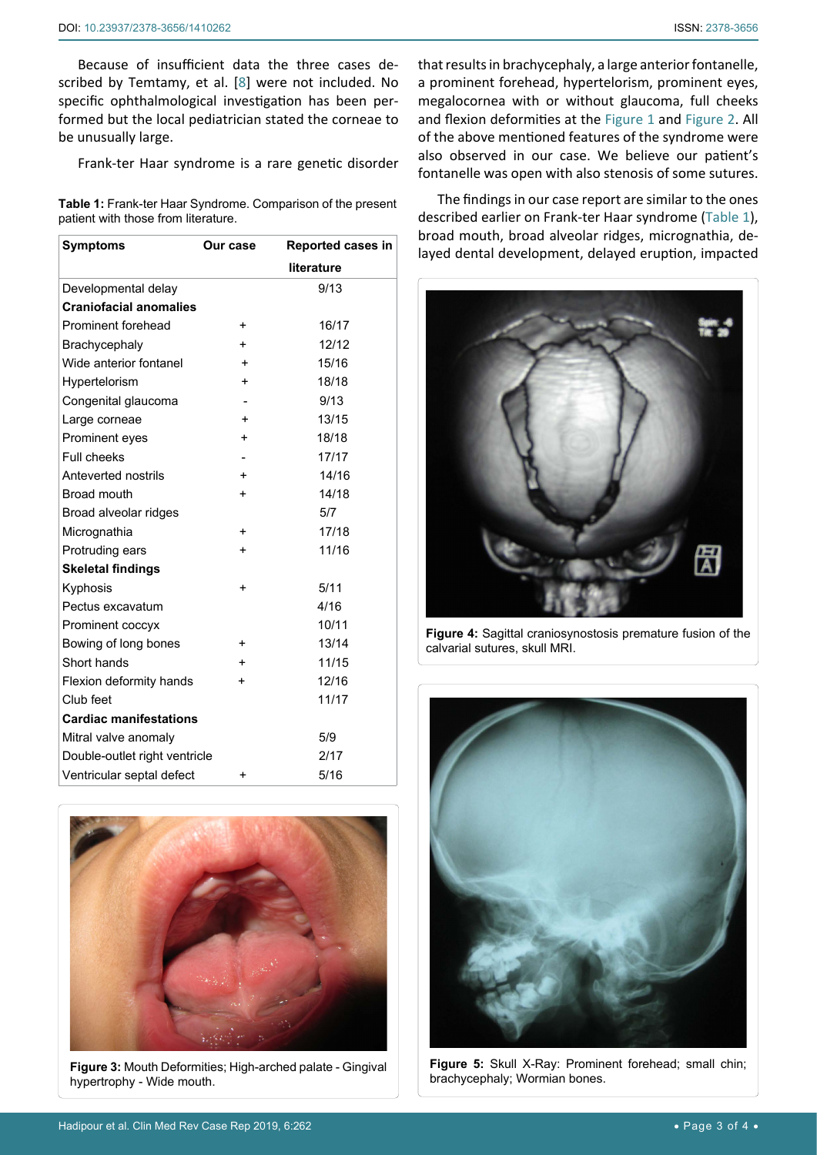Because of insufficient data the three cases described by Temtamy, et al. [[8](#page-3-6)] were not included. No specific ophthalmological investigation has been performed but the local pediatrician stated the corneae to be unusually large.

Frank-ter Haar syndrome is a rare genetic disorder

<span id="page-2-0"></span>**Table 1:** Frank-ter Haar Syndrome. Comparison of the present patient with those from literature.

| <b>Symptoms</b>               | <b>Our case</b> | Reported cases in |
|-------------------------------|-----------------|-------------------|
|                               |                 | literature        |
| Developmental delay           |                 | 9/13              |
| <b>Craniofacial anomalies</b> |                 |                   |
| Prominent forehead            | +               | 16/17             |
| Brachycephaly                 | $\ddot{}$       | 12/12             |
| Wide anterior fontanel        | $\ddot{}$       | 15/16             |
| Hypertelorism                 | $\ddot{}$       | 18/18             |
| Congenital glaucoma           |                 | 9/13              |
| Large corneae                 | +               | 13/15             |
| Prominent eyes                | $\ddot{}$       | 18/18             |
| Full cheeks                   |                 | 17/17             |
| Anteverted nostrils           | $\ddot{}$       | 14/16             |
| Broad mouth                   | $\ddot{}$       | 14/18             |
| Broad alveolar ridges         |                 | 5/7               |
| Micrognathia                  | $\ddot{}$       | 17/18             |
| Protruding ears               | +               | 11/16             |
| <b>Skeletal findings</b>      |                 |                   |
| Kyphosis                      | $\ddot{}$       | 5/11              |
| Pectus excavatum              |                 | 4/16              |
| Prominent coccyx              |                 | 10/11             |
| Bowing of long bones          | +               | 13/14             |
| Short hands                   | $\ddot{}$       | 11/15             |
| Flexion deformity hands       | $\ddot{}$       | 12/16             |
| Club feet                     |                 | 11/17             |
| <b>Cardiac manifestations</b> |                 |                   |
| Mitral valve anomaly          |                 | 5/9               |
| Double-outlet right ventricle |                 | 2/17              |
| Ventricular septal defect     | +               | 5/16              |

<span id="page-2-1"></span>

**Figure 3:** Mouth Deformities; High-arched palate - Gingival hypertrophy - Wide mouth.

that results in brachycephaly, a large anterior fontanelle, a prominent forehead, hypertelorism, prominent eyes, megalocornea with or without glaucoma, full cheeks and flexion deformities at the [Figure 1](#page-1-0) and [Figure 2](#page-1-1). All of the above mentioned features of the syndrome were also observed in our case. We believe our patient's fontanelle was open with also stenosis of some sutures.

The findings in our case report are similar to the ones described earlier on Frank-ter Haar syndrome [\(Table 1\)](#page-2-0), broad mouth, broad alveolar ridges, micrognathia, delayed dental development, delayed eruption, impacted

<span id="page-2-2"></span>

**Figure 4:** Sagittal craniosynostosis premature fusion of the calvarial sutures, skull MRI.

<span id="page-2-3"></span>

**Figure 5:** Skull X-Ray: Prominent forehead; small chin; brachycephaly; Wormian bones.